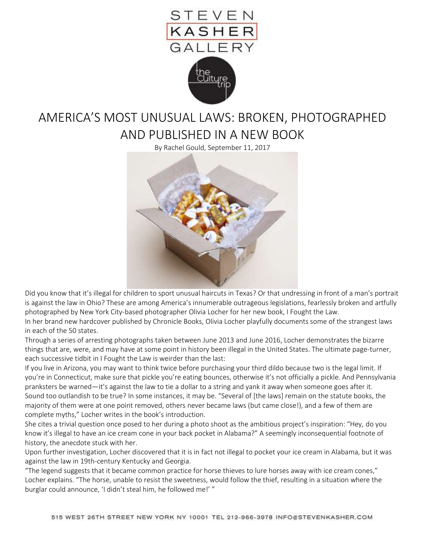

## AMERICA'S MOST UNUSUAL LAWS: BROKEN, PHOTOGRAPHED AND PUBLISHED IN A NEW BOOK

By Rachel Gould, September 11, 2017



Did you know that it's illegal for children to sport unusual haircuts in Texas? Or that undressing in front of a man's portrait is against the law in Ohio? These are among America's innumerable outrageous legislations, fearlessly broken and artfully photographed by New York City-based photographer Olivia Locher for her new book, I Fought the Law.

In her brand new hardcover published by Chronicle Books, Olivia Locher playfully documents some of the strangest laws in each of the 50 states.

Through a series of arresting photographs taken between June 2013 and June 2016, Locher demonstrates the bizarre things that are, were, and may have at some point in history been illegal in the United States. The ultimate page-turner, each successive tidbit in I Fought the Law is weirder than the last:

If you live in Arizona, you may want to think twice before purchasing your third dildo because two is the legal limit. If you're in Connecticut, make sure that pickle you're eating bounces, otherwise it's not officially a pickle. And Pennsylvania pranksters be warned—it's against the law to tie a dollar to a string and yank it away when someone goes after it. Sound too outlandish to be true? In some instances, it may be. "Several of [the laws] remain on the statute books, the majority of them were at one point removed, others never became laws (but came close!), and a few of them are complete myths," Locher writes in the book's introduction.

She cites a trivial question once posed to her during a photo shoot as the ambitious project's inspiration: "Hey, do you know it's illegal to have an ice cream cone in your back pocket in Alabama?" A seemingly inconsequential footnote of history, the anecdote stuck with her.

Upon further investigation, Locher discovered that it is in fact not illegal to pocket your ice cream in Alabama, but it was against the law in 19th-century Kentucky and Georgia.

"The legend suggests that it became common practice for horse thieves to lure horses away with ice cream cones," Locher explains. "The horse, unable to resist the sweetness, would follow the thief, resulting in a situation where the burglar could announce, 'I didn't steal him, he followed me!'"